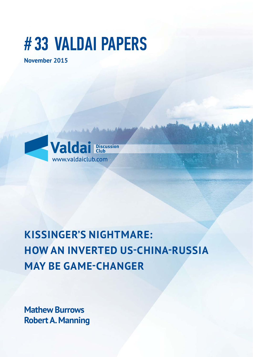# # 33 VALDAI PAPERS

**November 2015**



## **KISSINGER'S NIGHTMARE: HOW AN INVERTED US-CHINA-RUSSIA MAY BE GAME-CHANGER**

**Mathew Burrows Robert A. Manning**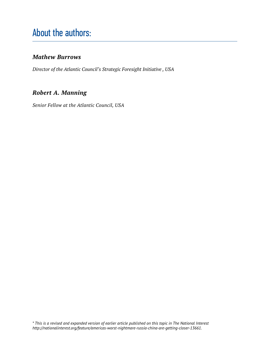## About the authors:

#### *Mathew Burrows*

*Director of the Atlantic Council's Strategic Foresight Initiative , USA*

#### *Robert A. Manning*

*Senior Fellow at the Atlantic Council, USA*

*\* This is a revised and expanded version of earlier article published on this topic in The National Interest http://nationalinterest.org/feature/americas-worst-nightmare-russia-china-are-getting-closer-13661.*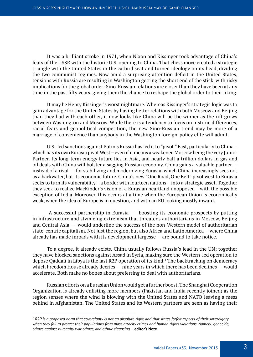It was a brilliant stroke in 1971, when Nixon and Kissinger took advantage of China's fears of the USSR with the historic U.S. opening to China. That chess move created a strategic triangle with the United States in the catbird seat and turned ideology on its head, dividing the two communist regimes. Now amid a surprising attention deficit in the United States, tensions with Russia are resulting in Washington getting the short end of the stick, with risky implications for the global order: Sino-Russian relations are closer than they have been at any time in the past fifty years, giving them the chance to reshape the global order to their liking.

It may be Henry Kissinger's worst nightmare. Whereas Kissinger's strategic logic was to gain advantage for the United States by having better relations with both Moscow and Beijing than they had with each other, it now looks like China will be the winner as the rift grows between Washington and Moscow. While there is a tendency to focus on historic differences, racial fears and geopolitical competition, the new Sino-Russian trend may be more of a marriage of convenience than anybody in the Washington foreign-policy elite will admit.

U.S.-led sanctions against Putin's Russia has led it to "pivot " East, particularly to China – which has its own Eurasia pivot West– even if it means a weakened Moscow being the very Junior Partner. Its long-term energy future lies in Asia, and nearly half a trillion dollars in gas and oil deals with China will bolster a sagging Russian economy. China gains a valuable partner – instead of a rival – for stabilizing and modernizing Eurasia, which China increasingly sees not as a backwater, but its economic future. China's new "One Road, One Belt" pivot west to Eurasia seeks to turn its vulnerability – a border with fourteen nations – into a strategic asset. Together they seek to realize MacKinder's vision of a Eurasian heartland unopposed – with the possible exception of India. Moreover, this occurs at a time when the European Union is economically weak, when the idea of Europe is in question, and with an EU looking mostly inward.

 A successful partnership in Eurasia – boosting its economic prospects by putting in infrastructure and stymieing extremism that threatens authoritarians in Moscow, Beijing and Central Asia – would underline the success of the non-Western model of authoritarian state-centric capitalism. Not just the region, but also Africa and Latin America – where China already has made inroads with its development largesse – are bound to take notice.

To a degree, it already exists. China usually follows Russia's lead in the UN; together they have blocked sanctions against Assad in Syria, making sure the Western-led operation to depose Qaddafi in Libya is the last R2P operation of its kind.<sup>1</sup> The backtracking on democracy which Freedom House already decries – nine years in which there has been declines – would accelerate. Both make no bones about preferring to deal with authoritarians.

Russian efforts on a Eurasian Union would get a further boost. The Shanghai Cooperation Organization is already enlisting more members (Pakistan and India recently joined) as the region senses where the wind is blowing with the United States and NATO leaving a mess behind in Afghanistan. The United States and its Western partners are seen as having their

*<sup>1</sup> R2P is a proposed norm that sovereignty is not an absolute right, and that states forfeit aspects of their sovereignty when they fail to protect their populations from mass atrocity crimes and human rights violations. Namely: genocide, crimes against humanity, war crimes, and ethnic cleansing –* **editor's Note**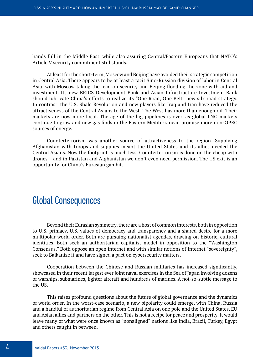hands full in the Middle East, while also assuring Central/Eastern Europeans that NATO's Article V security commitment still stands.

At least for the short-term, Moscow and Beijing have avoided their strategic competition in Central Asia. There appears to be at least a tacit Sino-Russian division of labor in Central Asia, with Moscow taking the lead on security and Beijing flooding the zone with aid and investment. Its new BRICS Development Bank and Asian Infrastructure Investment Bank should lubricate China's efforts to realize its "One Road, One Belt" new silk road strategy. In contrast, the U.S. Shale Revolution and new players like Iraq and Iran have reduced the attractiveness of the Central Asians to the West. The West has more than enough oil. Their markets are now more local. The age of the big pipelines is over, as global LNG markets continue to grow and new gas finds in the Eastern Mediterranean promise more non-OPEC sources of energy.

Counterterrorism was another source of attractiveness to the region. Supplying Afghanistan with troops and supplies meant the United States and its allies needed the Central Asians. Now the footprint is much less. Counterterrorism is done on the cheap with drones – and in Pakistan and Afghanistan we don't even need permission. The US exit is an opportunity for China's Eurasian gambit.

#### Global Consequences

Beyond their Eurasian symmetry, there are a host of common interests, both in opposition to U.S. primacy, U.S. values of democracy and transparency and a shared desire for a more multipolar world order. Both are pursuing nationalist agendas, drawing on historic, cultural identities. Both seek an authoritarian capitalist model in opposition to the "Washington Consensus." Both oppose an open internet and with similar notions of Internet "sovereignty", seek to Balkanize it and have signed a pact on cybersecurity matters.

Cooperation between the Chinese and Russian militaries has increased significantly, showcased in their recent largest ever joint naval exercises in the Sea of Japan involving dozens of warships, submarines, fighter aircraft and hundreds of marines. A not-so-subtle message to the US.

This raises profound questions about the future of global governance and the dynamics of world order. In the worst-case scenario, a new bipolarity could emerge, with China, Russia and a handful of authoritarian regime from Central Asia on one pole and the United States, EU and Asian allies and partners on the other. This is not a recipe for peace and prosperity. It would leave many of what were once known as "nonaligned" nations like India, Brazil, Turkey, Egypt and others caught in between.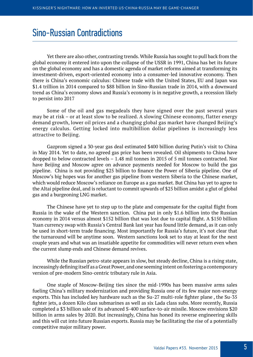#### Sino-Russian Contradictions

Yet there are also other, contrasting trends. While Russia has sought to pull back from the global economy it entered into upon the collapse of the USSR in 1991, China has bet its future on the global economy and has a domestic agenda of market reforms aimed at transforming its investment-driven, export-oriented economy into a consumer-led innovative economy. Then there is China's economic calculus: Chinese trade with the United States, EU and Japan was \$1.4 trillion in 2014 compared to \$88 billion in Sino-Russian trade in 2014, with a downward trend as China's economy slows and Russia's economy is in negative growth, a recession likely to persist into 2017

Some of the oil and gas megadeals they have signed over the past several years may be at risk – or at least slow to be realized. A slowing Chinese economy, flatter energy demand growth, lower oil prices and a changing global gas market have changed Beijing's energy calculus. Getting locked into multibillion dollar pipelines is increasingly less attractive to Beijing.

Gazprom signed a 30-year gas deal estimated \$400 billion during Putin's visit to China in May 2014. Yet to date, no agreed gas price has been revealed. Oil shipments to China have dropped to below contracted levels – 1.48 mil tonnes in 2015 of 5 mil tonnes contracted. Nor have Beijing and Moscow agree on advance payments needed for Moscow to build the gas pipeline. China is not providing \$25 billion to finance the Power of Siberia pipeline. One of Moscow's big hopes was for another gas pipeline from western Siberia to the Chinese market, which would reduce Moscow's reliance on Europe as a gas market. But China has yet to agree to the Altai pipeline deal, and is reluctant to commit upwards of \$25 billion amidst a glut of global gas and a burgeoning LNG market.

The Chinese have yet to step up to the plate and compensate for the capital flight from Russia in the wake of the Western sanction. China put in only \$1.6 billion into the Russian economy in 2014 versus almost \$152 billion that was lost due to capital flight. A \$150 billion Yuan currency swap with Russia's Central Bank last year has found little demand, as it can only be used in short-term trade financing. Most importantly for Russia's future, it's not clear that the turnaround will be anytime soon. Western sanctions look set to stay at least for the next couple years and what was an insatiable appetite for commodities will never return even when the current slump ends and Chinese demand revives.

While the Russian petro-state appears in slow, but steady decline, China is a rising state, increasingly defining itself as a Great Power, and one seeming intent on fostering a contemporary version of pre-modern Sino-centric tributary rule in Asia.

One staple of Moscow-Beijing ties since the mid-1990s has been massive arms sales fueling China's military modernization and providing Russia one of its few major non-energy exports. This has included key hardware such as the Su-27 multi-role fighter plane, the Su-35 fighter jets, a dozen Kilo class submarines as well as six Lada class subs. More recently, Russia completed a \$3 billion sale of its advanced S-400 surface-to-air missile. Moscow envisions \$20 billion in arms sales by 2020. But increasingly, China has honed its reverse engineering skills and this will cut into future Russian exports. Russia may be facilitating the rise of a potentially competitive major military power.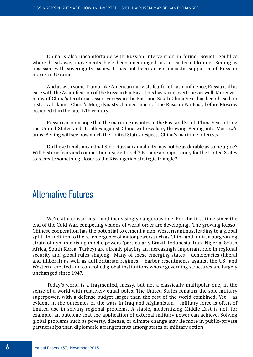China is also uncomfortable with Russian intervention in former Soviet republics where breakaway movements have been encouraged, as in eastern Ukraine. Beijing is obsessed with sovereignty issues. It has not been an enthusiastic supporter of Russian moves in Ukraine.

And as with some Trump-like American nativists fearful of Latin influence, Russia is ill at ease with the Asianification of the Russian Far East. This has racial overtones as well. Moreover, many of China's territorial assertiveness in the East and South China Seas has been based on historical claims. China's Ming dynasty claimed much of the Russian Far East, before Moscow occupied it in the late 17th century.

Russia can only hope that the maritime disputes in the East and South China Seas pitting the United States and its allies against China will escalate, throwing Beijing into Moscow's arms. Beijing will see how much the United States respects China's maritime interests.

Do these trends mean that Sino-Russian amiability may not be as durable as some argue? Will historic fears and competition reassert itself? Is there an opportunity for the United States to recreate something closer to the Kissingerian strategic triangle?

### Alternative Futures

We're at a crossroads – and increasingly dangerous one. For the first time since the end of the Cold War, competing visions of world order are developing. The growing Russo-Chinese cooperation has the potential to cement a non-Western animus, leading to a global split. In addition to the re-emergence of major powers such as China and India, a burgeoning strata of dynamic rising middle powers (particularly Brazil, Indonesia, Iran, Nigeria, South Africa, South Korea, Turkey) are already playing an increasingly important role in regional security and global rules-shaping. Many of these emerging states – democracies (liberal and illiberal) as well as authoritarian regimes – harbor resentments against the US- and Western- created and controlled global institutions whose governing structures are largely unchanged since 1947.

Today's world is a fragmented, messy, but not a classically multipolar one, in the sense of a world with relatively equal poles. The United States remains the sole military superpower, with a defense budget larger than the rest of the world combined. Yet – as evident in the outcomes of the wars in Iraq and Afghanistan – military force is often of limited use in solving regional problems. A stable, modernizing Middle East is not, for example, an outcome that the application of external military power can achieve. Solving global problems such as poverty, disease, or climate change may lie more in public-private partnerships than diplomatic arrangements among states or military action.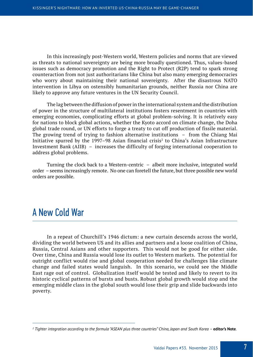In this increasingly post-Western world, Western policies and norms that are viewed as threats to national sovereignty are being more broadly questioned. Thus, values-based issues such as democracy promotion and the Right to Protect (R2P) tend to spark strong counteraction from not just authoritarians like China but also many emerging democracies who worry about maintaining their national sovereignty. After the disastrous NATO intervention in Libya on ostensibly humanitarian grounds, neither Russia nor China are likely to approve any future ventures in the UN Security Council.

The lag between the diffusion of power in the international system and the distribution of power in the structure of multilateral institutions fosters resentment in countries with emerging economies, complicating efforts at global problem-solving. It is relatively easy for nations to block global actions, whether the Kyoto accord on climate change, the Doha global trade round, or UN efforts to forge a treaty to cut off production of fissile material. The growing trend of trying to fashion alternative institutions – from the Chiang Mai Initiative spurred by the 1997–98 Asian financial crisis<sup>2</sup> to China's Asian Infrastructure Investment Bank (AIIB) – increases the difficulty of forging international cooperation to address global problems.

Turning the clock back to a Western-centric – albeit more inclusive, integrated world order – seems increasingly remote. No one can foretell the future, but three possible new world orders are possible.

#### A New Cold War

In a repeat of Churchill's 1946 dictum: a new curtain descends across the world, dividing the world between US and its allies and partners and a loose coalition of China, Russia, Central Asians and other supporters. This would not be good for either side. Over time, China and Russia would lose its outlet to Western markets. The potential for outright conflict would rise and global cooperation needed for challenges like climate change and failed states would languish. In this scenario, we could see the Middle East rage out of control. Globalization itself would be tested and likely to revert to its historic cyclical patterns of bursts and busts. Robust global growth would stop and the emerging middle class in the global south would lose their grip and slide backwards into poverty.

*<sup>2</sup> Tighter integration according to the formula "ASEAN plus three countries" China, Japan and South Korea –* **editor's Note**.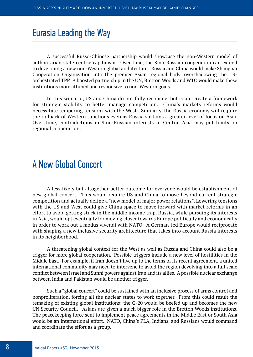#### Eurasia Leading the Way

A successful Russo-Chinese partnership would showcase the non-Western model of authoritarian state-centric capitalism. Over time, the Sino-Russian cooperation can extend to developing a new non-Western global architecture. Russia and China would make Shanghai Cooperation Organization into the premier Asian regional body, overshadowing the USorchestrated TPP. A boosted partnership in the UN, Bretton Woods and WTO would make these institutions more attuned and responsive to non-Western goals.

In this scenario, US and China do not fully reconcile, but could create a framework for strategic stability to better manage competition. China's markets reforms would necessitate tempering tensions with the West. Similarly, the Russia economy will require the rollback of Western sanctions even as Russia sustains a greater level of focus on Asia. Over time, contradictions in Sino-Russian interests in Central Asia may put limits on regional cooperation.

#### A New Global Concert

A less likely but altogether better outcome for everyone would be establishment of new global concert. This would require US and China to move beyond current strategic competition and actually define a "new model of major power relations". Lowering tensions with the US and West could give China space to move forward with market reforms in an effort to avoid getting stuck in the middle income trap. Russia, while pursuing its interests in Asia, would opt eventually for moving closer towards Europe politically and economically in order to work out a modus vivendi with NATO. A German-led Europe would reciprocate with shaping a new inclusive security architecture that takes into account Russia interests in its neighborhood.

A threatening global context for the West as well as Russia and China could also be a trigger for more global cooperation. Possible triggers include a new level of hostilities in the Middle East. For example, if Iran doesn't live up to the terms of its recent agreement, a united international community may need to intervene to avoid the region devolving into a full scale conflict between Israel and Sunni powers against Iran and its allies. A possible nuclear exchange between India and Pakistan would be another trigger.

Such a "global concert" could be sustained with an inclusive process of arms control and nonproliferation, forcing all the nuclear states to work together. From this could result the remaking of existing global institutions: the G-20 would be beefed up and becomes the new UN Security Council. Asians are given a much bigger role in the Bretton Woods institutions. The peacekeeping force sent to implement peace agreements in the Middle East or South Asia would be an international effort. NATO, China's PLA, Indians, and Russians would command and coordinate the effort as a group.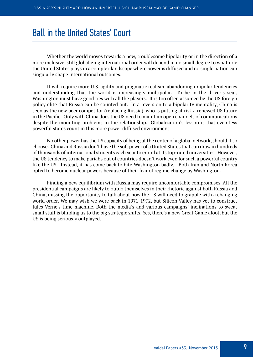#### Ball in the United States' Court

Whether the world moves towards a new, troublesome bipolarity or in the direction of a more inclusive, still globalizing international order will depend in no small degree to what role the United States plays in a complex landscape where power is diffused and no single nation can singularly shape international outcomes.

It will require more U.S. agility and pragmatic realism, abandoning unipolar tendencies and understanding that the world is increasingly multipolar. To be in the driver's seat, Washington must have good ties with all the players. It is too often assumed by the US foreign policy elite that Russia can be counted out. In a reversion to a bipolarity mentality, China is seen as the new peer competitor (replacing Russia), who is putting at risk a renewed US future in the Pacific. Only with China does the US need to maintain open channels of communications despite the mounting problems in the relationship. Globalization's lesson is that even less powerful states count in this more power diffused environment.

No other power has the US capacity of being at the center of a global network, should it so choose. China and Russia don't have the soft power of a United States that can draw in hundreds of thousands of international students each year to enroll at its top-rated universities. However, the US tendency to make pariahs out of countries doesn't work even for such a powerful country like the US. Instead, it has come back to bite Washington badly. Both Iran and North Korea opted to become nuclear powers because of their fear of regime change by Washington.

Finding a new equilibrium with Russia may require uncomfortable compromises. All the presidential campaigns are likely to outdo themselves in their rhetoric against both Russia and China, missing the opportunity to talk about how the US will need to grapple with a changing world order. We may wish we were back in 1971-1972, but Silicon Valley has yet to construct Jules Verne's time machine. Both the media's and various campaigns' inclinations to sweat small stuff is blinding us to the big strategic shifts. Yes, there's a new Great Game afoot, but the US is being seriously outplayed.